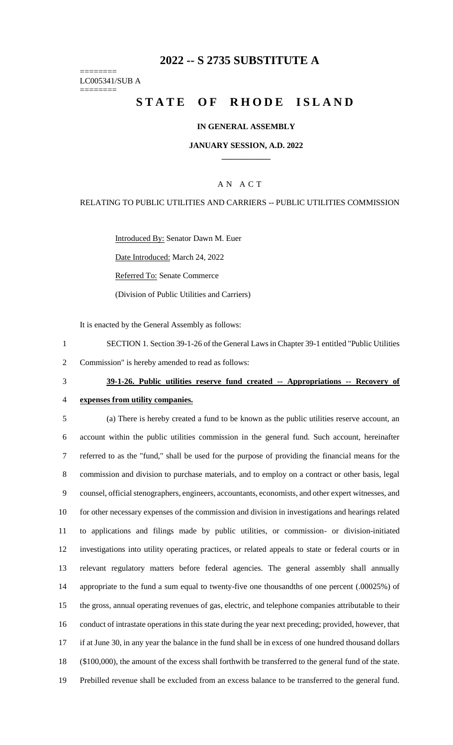# **2022 -- S 2735 SUBSTITUTE A**

======== LC005341/SUB A ========

# **STATE OF RHODE ISLAND**

### **IN GENERAL ASSEMBLY**

### **JANUARY SESSION, A.D. 2022 \_\_\_\_\_\_\_\_\_\_\_\_**

## A N A C T

### RELATING TO PUBLIC UTILITIES AND CARRIERS -- PUBLIC UTILITIES COMMISSION

Introduced By: Senator Dawn M. Euer

Date Introduced: March 24, 2022

Referred To: Senate Commerce

(Division of Public Utilities and Carriers)

It is enacted by the General Assembly as follows:

1 SECTION 1. Section 39-1-26 of the General Laws in Chapter 39-1 entitled "Public Utilities

2 Commission" is hereby amended to read as follows:

# 3 **39-1-26. Public utilities reserve fund created -- Appropriations -- Recovery of**

4 **expenses from utility companies.**

 (a) There is hereby created a fund to be known as the public utilities reserve account, an account within the public utilities commission in the general fund. Such account, hereinafter referred to as the "fund," shall be used for the purpose of providing the financial means for the commission and division to purchase materials, and to employ on a contract or other basis, legal counsel, official stenographers, engineers, accountants, economists, and other expert witnesses, and for other necessary expenses of the commission and division in investigations and hearings related to applications and filings made by public utilities, or commission- or division-initiated investigations into utility operating practices, or related appeals to state or federal courts or in relevant regulatory matters before federal agencies. The general assembly shall annually appropriate to the fund a sum equal to twenty-five one thousandths of one percent (.00025%) of the gross, annual operating revenues of gas, electric, and telephone companies attributable to their conduct of intrastate operations in this state during the year next preceding; provided, however, that if at June 30, in any year the balance in the fund shall be in excess of one hundred thousand dollars (\$100,000), the amount of the excess shall forthwith be transferred to the general fund of the state. Prebilled revenue shall be excluded from an excess balance to be transferred to the general fund.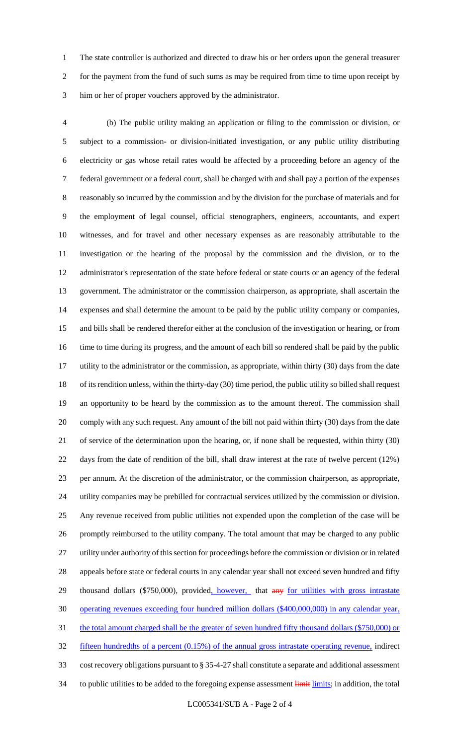The state controller is authorized and directed to draw his or her orders upon the general treasurer for the payment from the fund of such sums as may be required from time to time upon receipt by him or her of proper vouchers approved by the administrator.

 (b) The public utility making an application or filing to the commission or division, or subject to a commission- or division-initiated investigation, or any public utility distributing electricity or gas whose retail rates would be affected by a proceeding before an agency of the federal government or a federal court, shall be charged with and shall pay a portion of the expenses reasonably so incurred by the commission and by the division for the purchase of materials and for the employment of legal counsel, official stenographers, engineers, accountants, and expert witnesses, and for travel and other necessary expenses as are reasonably attributable to the investigation or the hearing of the proposal by the commission and the division, or to the administrator's representation of the state before federal or state courts or an agency of the federal government. The administrator or the commission chairperson, as appropriate, shall ascertain the expenses and shall determine the amount to be paid by the public utility company or companies, and bills shall be rendered therefor either at the conclusion of the investigation or hearing, or from time to time during its progress, and the amount of each bill so rendered shall be paid by the public utility to the administrator or the commission, as appropriate, within thirty (30) days from the date of its rendition unless, within the thirty-day (30) time period, the public utility so billed shall request an opportunity to be heard by the commission as to the amount thereof. The commission shall comply with any such request. Any amount of the bill not paid within thirty (30) days from the date of service of the determination upon the hearing, or, if none shall be requested, within thirty (30) days from the date of rendition of the bill, shall draw interest at the rate of twelve percent (12%) per annum. At the discretion of the administrator, or the commission chairperson, as appropriate, utility companies may be prebilled for contractual services utilized by the commission or division. Any revenue received from public utilities not expended upon the completion of the case will be promptly reimbursed to the utility company. The total amount that may be charged to any public utility under authority of this section for proceedings before the commission or division or in related appeals before state or federal courts in any calendar year shall not exceed seven hundred and fifty 29 thousand dollars (\$750,000), provided, however, that any for utilities with gross intrastate operating revenues exceeding four hundred million dollars (\$400,000,000) in any calendar year, 31 the total amount charged shall be the greater of seven hundred fifty thousand dollars (\$750,000) or fifteen hundredths of a percent (0.15%) of the annual gross intrastate operating revenue, indirect cost recovery obligations pursuant to § 35-4-27 shall constitute a separate and additional assessment 34 to public utilities to be added to the foregoing expense assessment limits; in addition, the total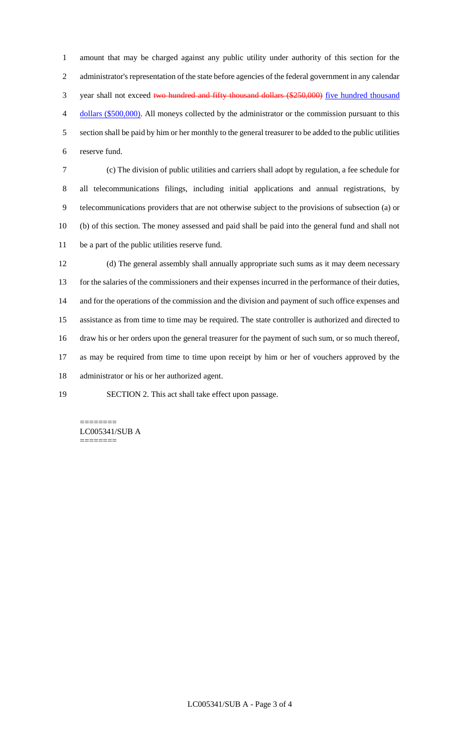amount that may be charged against any public utility under authority of this section for the administrator's representation of the state before agencies of the federal government in any calendar 3 year shall not exceed two hundred and fifty thousand dollars (\$250,000) five hundred thousand dollars (\$500,000). All moneys collected by the administrator or the commission pursuant to this section shall be paid by him or her monthly to the general treasurer to be added to the public utilities reserve fund.

 (c) The division of public utilities and carriers shall adopt by regulation, a fee schedule for all telecommunications filings, including initial applications and annual registrations, by telecommunications providers that are not otherwise subject to the provisions of subsection (a) or (b) of this section. The money assessed and paid shall be paid into the general fund and shall not be a part of the public utilities reserve fund.

 (d) The general assembly shall annually appropriate such sums as it may deem necessary for the salaries of the commissioners and their expenses incurred in the performance of their duties, and for the operations of the commission and the division and payment of such office expenses and assistance as from time to time may be required. The state controller is authorized and directed to draw his or her orders upon the general treasurer for the payment of such sum, or so much thereof, as may be required from time to time upon receipt by him or her of vouchers approved by the administrator or his or her authorized agent.

SECTION 2. This act shall take effect upon passage.

LC005341/SUB A ========

========